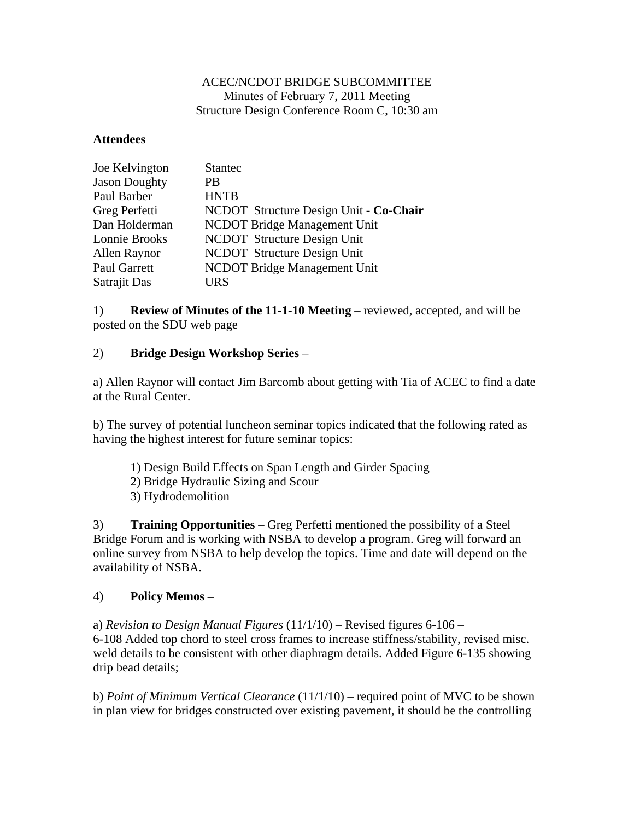## ACEC/NCDOT BRIDGE SUBCOMMITTEE Minutes of February 7, 2011 Meeting Structure Design Conference Room C, 10:30 am

## **Attendees**

| Joe Kelvington       | <b>Stantec</b>                         |
|----------------------|----------------------------------------|
| <b>Jason Doughty</b> | PB                                     |
| Paul Barber          | <b>HNTB</b>                            |
| Greg Perfetti        | NCDOT Structure Design Unit - Co-Chair |
| Dan Holderman        | <b>NCDOT Bridge Management Unit</b>    |
| Lonnie Brooks        | NCDOT Structure Design Unit            |
| Allen Raynor         | <b>NCDOT</b> Structure Design Unit     |
| Paul Garrett         | <b>NCDOT Bridge Management Unit</b>    |
| Satrajit Das         | URS                                    |

1) **Review of Minutes of the 11-1-10 Meeting** – reviewed, accepted, and will be posted on the SDU web page

## 2) **Bridge Design Workshop Series** –

a) Allen Raynor will contact Jim Barcomb about getting with Tia of ACEC to find a date at the Rural Center.

b) The survey of potential luncheon seminar topics indicated that the following rated as having the highest interest for future seminar topics:

- 1) Design Build Effects on Span Length and Girder Spacing
- 2) Bridge Hydraulic Sizing and Scour
- 3) Hydrodemolition

3) **Training Opportunities** – Greg Perfetti mentioned the possibility of a Steel Bridge Forum and is working with NSBA to develop a program. Greg will forward an online survey from NSBA to help develop the topics. Time and date will depend on the availability of NSBA.

## 4) **Policy Memos** –

a) *Revision to Design Manual Figures* (11/1/10) – Revised figures 6-106 – 6-108 Added top chord to steel cross frames to increase stiffness/stability, revised misc. weld details to be consistent with other diaphragm details. Added Figure 6-135 showing drip bead details;

b) *Point of Minimum Vertical Clearance* (11/1/10) – required point of MVC to be shown in plan view for bridges constructed over existing pavement, it should be the controlling